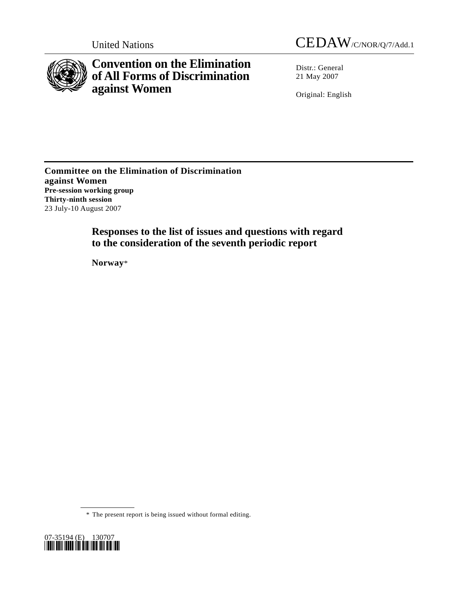

**Convention on the Elimination of All Forms of Discrimination against Women** 

United Nations CEDAW/C/NOR/Q/7/Add.1

Distr.: General 21 May 2007

Original: English

**Committee on the Elimination of Discrimination against Women Pre-session working group Thirty-ninth session**  23 July-10 August 2007

> **Responses to the list of issues and questions with regard to the consideration of the seventh periodic report**

 **Norway**\*

 <sup>\*</sup> The present report is being issued without formal editing.

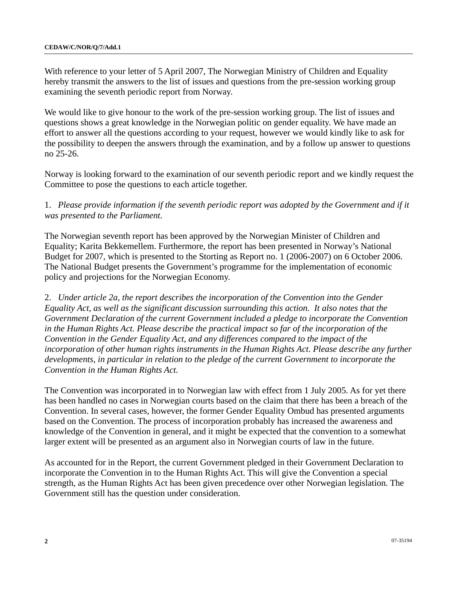With reference to your letter of 5 April 2007, The Norwegian Ministry of Children and Equality hereby transmit the answers to the list of issues and questions from the pre-session working group examining the seventh periodic report from Norway.

We would like to give honour to the work of the pre-session working group. The list of issues and questions shows a great knowledge in the Norwegian politic on gender equality. We have made an effort to answer all the questions according to your request, however we would kindly like to ask for the possibility to deepen the answers through the examination, and by a follow up answer to questions no 25-26.

Norway is looking forward to the examination of our seventh periodic report and we kindly request the Committee to pose the questions to each article together.

1. *Please provide information if the seventh periodic report was adopted by the Government and if it was presented to the Parliament.*

The Norwegian seventh report has been approved by the Norwegian Minister of Children and Equality; Karita Bekkemellem. Furthermore, the report has been presented in Norway's National Budget for 2007, which is presented to the Storting as Report no. 1 (2006-2007) on 6 October 2006. The National Budget presents the Government's programme for the implementation of economic policy and projections for the Norwegian Economy.

2. *Under article 2a, the report describes the incorporation of the Convention into the Gender Equality Act, as well as the significant discussion surrounding this action. It also notes that the Government Declaration of the current Government included a pledge to incorporate the Convention*  in the Human Rights Act. Please describe the practical impact so far of the incorporation of the *Convention in the Gender Equality Act, and any differences compared to the impact of the incorporation of other human rights instruments in the Human Rights Act. Please describe any further developments, in particular in relation to the pledge of the current Government to incorporate the Convention in the Human Rights Act.* 

The Convention was incorporated in to Norwegian law with effect from 1 July 2005. As for yet there has been handled no cases in Norwegian courts based on the claim that there has been a breach of the Convention. In several cases, however, the former Gender Equality Ombud has presented arguments based on the Convention. The process of incorporation probably has increased the awareness and knowledge of the Convention in general, and it might be expected that the convention to a somewhat larger extent will be presented as an argument also in Norwegian courts of law in the future.

As accounted for in the Report, the current Government pledged in their Government Declaration to incorporate the Convention in to the Human Rights Act. This will give the Convention a special strength, as the Human Rights Act has been given precedence over other Norwegian legislation. The Government still has the question under consideration.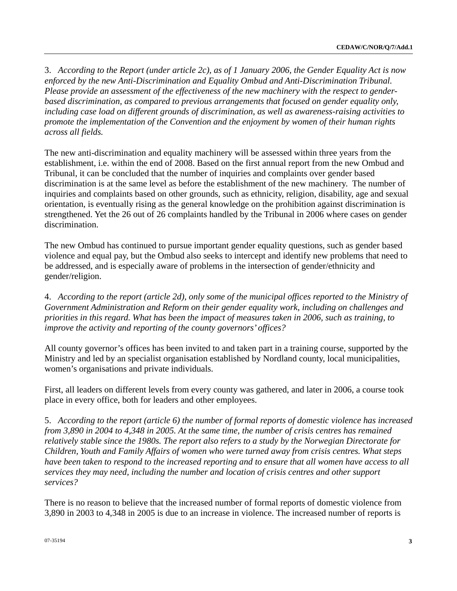3. *According to the Report (under article 2c), as of 1 January 2006, the Gender Equality Act is now enforced by the new Anti-Discrimination and Equality Ombud and Anti-Discrimination Tribunal. Please provide an assessment of the effectiveness of the new machinery with the respect to genderbased discrimination, as compared to previous arrangements that focused on gender equality only, including case load on different grounds of discrimination, as well as awareness-raising activities to promote the implementation of the Convention and the enjoyment by women of their human rights across all fields.*

The new anti-discrimination and equality machinery will be assessed within three years from the establishment, i.e. within the end of 2008. Based on the first annual report from the new Ombud and Tribunal, it can be concluded that the number of inquiries and complaints over gender based discrimination is at the same level as before the establishment of the new machinery. The number of inquiries and complaints based on other grounds, such as ethnicity, religion, disability, age and sexual orientation, is eventually rising as the general knowledge on the prohibition against discrimination is strengthened. Yet the 26 out of 26 complaints handled by the Tribunal in 2006 where cases on gender discrimination.

The new Ombud has continued to pursue important gender equality questions, such as gender based violence and equal pay, but the Ombud also seeks to intercept and identify new problems that need to be addressed, and is especially aware of problems in the intersection of gender/ethnicity and gender/religion.

4. *According to the report (article 2d), only some of the municipal offices reported to the Ministry of Government Administration and Reform on their gender equality work, including on challenges and priorities in this regard. What has been the impact of measures taken in 2006, such as training, to improve the activity and reporting of the county governors' offices?*

All county governor's offices has been invited to and taken part in a training course, supported by the Ministry and led by an specialist organisation established by Nordland county, local municipalities, women's organisations and private individuals.

First, all leaders on different levels from every county was gathered, and later in 2006, a course took place in every office, both for leaders and other employees.

5. *According to the report (article 6) the number of formal reports of domestic violence has increased from 3,890 in 2004 to 4,348 in 2005. At the same time, the number of crisis centres has remained relatively stable since the 1980s. The report also refers to a study by the Norwegian Directorate for Children, Youth and Family Affairs of women who were turned away from crisis centres. What steps have been taken to respond to the increased reporting and to ensure that all women have access to all services they may need, including the number and location of crisis centres and other support services?* 

There is no reason to believe that the increased number of formal reports of domestic violence from 3,890 in 2003 to 4,348 in 2005 is due to an increase in violence. The increased number of reports is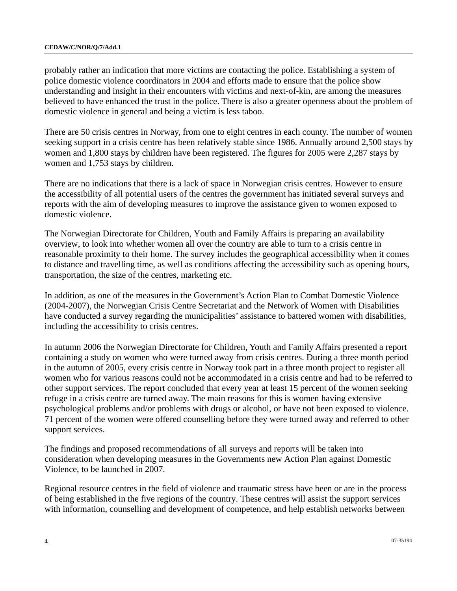probably rather an indication that more victims are contacting the police. Establishing a system of police domestic violence coordinators in 2004 and efforts made to ensure that the police show understanding and insight in their encounters with victims and next-of-kin, are among the measures believed to have enhanced the trust in the police. There is also a greater openness about the problem of domestic violence in general and being a victim is less taboo.

There are 50 crisis centres in Norway, from one to eight centres in each county. The number of women seeking support in a crisis centre has been relatively stable since 1986. Annually around 2,500 stays by women and 1,800 stays by children have been registered. The figures for 2005 were 2,287 stays by women and 1,753 stays by children.

There are no indications that there is a lack of space in Norwegian crisis centres. However to ensure the accessibility of all potential users of the centres the government has initiated several surveys and reports with the aim of developing measures to improve the assistance given to women exposed to domestic violence.

The Norwegian Directorate for Children, Youth and Family Affairs is preparing an availability overview, to look into whether women all over the country are able to turn to a crisis centre in reasonable proximity to their home. The survey includes the geographical accessibility when it comes to distance and travelling time, as well as conditions affecting the accessibility such as opening hours, transportation, the size of the centres, marketing etc.

In addition, as one of the measures in the Government's Action Plan to Combat Domestic Violence (2004-2007), the Norwegian Crisis Centre Secretariat and the Network of Women with Disabilities have conducted a survey regarding the municipalities' assistance to battered women with disabilities, including the accessibility to crisis centres.

In autumn 2006 the Norwegian Directorate for Children, Youth and Family Affairs presented a report containing a study on women who were turned away from crisis centres. During a three month period in the autumn of 2005, every crisis centre in Norway took part in a three month project to register all women who for various reasons could not be accommodated in a crisis centre and had to be referred to other support services. The report concluded that every year at least 15 percent of the women seeking refuge in a crisis centre are turned away. The main reasons for this is women having extensive psychological problems and/or problems with drugs or alcohol, or have not been exposed to violence. 71 percent of the women were offered counselling before they were turned away and referred to other support services.

The findings and proposed recommendations of all surveys and reports will be taken into consideration when developing measures in the Governments new Action Plan against Domestic Violence, to be launched in 2007.

Regional resource centres in the field of violence and traumatic stress have been or are in the process of being established in the five regions of the country. These centres will assist the support services with information, counselling and development of competence, and help establish networks between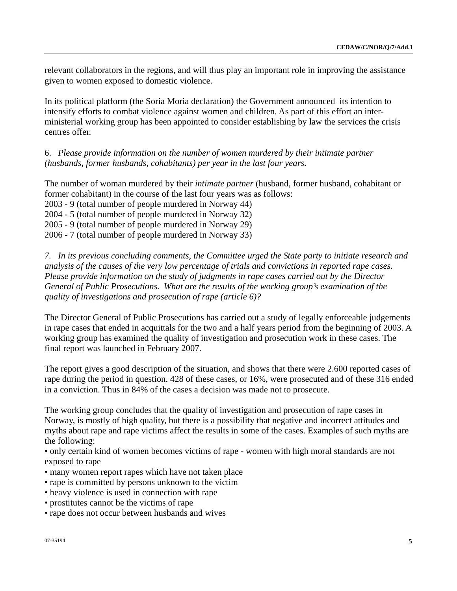relevant collaborators in the regions, and will thus play an important role in improving the assistance given to women exposed to domestic violence.

In its political platform (the Soria Moria declaration) the Government announced its intention to intensify efforts to combat violence against women and children. As part of this effort an interministerial working group has been appointed to consider establishing by law the services the crisis centres offer.

6. *Please provide information on the number of women murdered by their intimate partner (husbands, former husbands, cohabitants) per year in the last four years.*

The number of woman murdered by their *intimate partner* (husband, former husband, cohabitant or former cohabitant) in the course of the last four years was as follows:

2003 - 9 (total number of people murdered in Norway 44)

2004 - 5 (total number of people murdered in Norway 32)

2005 - 9 (total number of people murdered in Norway 29)

2006 - 7 (total number of people murdered in Norway 33)

*7. In its previous concluding comments, the Committee urged the State party to initiate research and analysis of the causes of the very low percentage of trials and convictions in reported rape cases. Please provide information on the study of judgments in rape cases carried out by the Director General of Public Prosecutions. What are the results of the working group's examination of the quality of investigations and prosecution of rape (article 6)?* 

The Director General of Public Prosecutions has carried out a study of legally enforceable judgements in rape cases that ended in acquittals for the two and a half years period from the beginning of 2003. A working group has examined the quality of investigation and prosecution work in these cases. The final report was launched in February 2007.

The report gives a good description of the situation, and shows that there were 2.600 reported cases of rape during the period in question. 428 of these cases, or 16%, were prosecuted and of these 316 ended in a conviction. Thus in 84% of the cases a decision was made not to prosecute.

The working group concludes that the quality of investigation and prosecution of rape cases in Norway, is mostly of high quality, but there is a possibility that negative and incorrect attitudes and myths about rape and rape victims affect the results in some of the cases. Examples of such myths are the following:

• only certain kind of women becomes victims of rape - women with high moral standards are not exposed to rape

- many women report rapes which have not taken place
- rape is committed by persons unknown to the victim
- heavy violence is used in connection with rape
- prostitutes cannot be the victims of rape
- rape does not occur between husbands and wives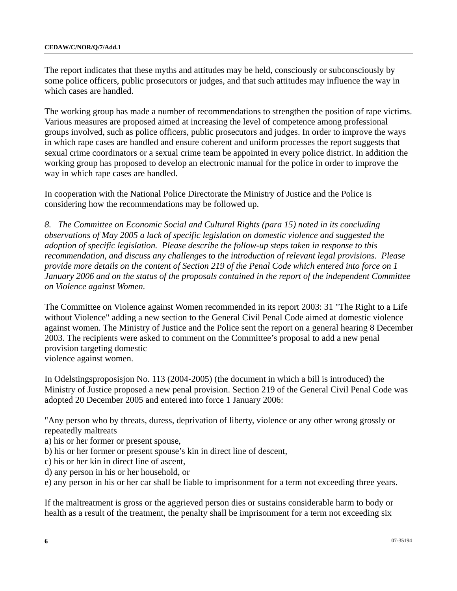The report indicates that these myths and attitudes may be held, consciously or subconsciously by some police officers, public prosecutors or judges, and that such attitudes may influence the way in which cases are handled.

The working group has made a number of recommendations to strengthen the position of rape victims. Various measures are proposed aimed at increasing the level of competence among professional groups involved, such as police officers, public prosecutors and judges. In order to improve the ways in which rape cases are handled and ensure coherent and uniform processes the report suggests that sexual crime coordinators or a sexual crime team be appointed in every police district. In addition the working group has proposed to develop an electronic manual for the police in order to improve the way in which rape cases are handled.

In cooperation with the National Police Directorate the Ministry of Justice and the Police is considering how the recommendations may be followed up.

*8. The Committee on Economic Social and Cultural Rights (para 15) noted in its concluding observations of May 2005 a lack of specific legislation on domestic violence and suggested the adoption of specific legislation. Please describe the follow-up steps taken in response to this recommendation, and discuss any challenges to the introduction of relevant legal provisions. Please provide more details on the content of Section 219 of the Penal Code which entered into force on 1 January 2006 and on the status of the proposals contained in the report of the independent Committee on Violence against Women.* 

The Committee on Violence against Women recommended in its report 2003: 31 "The Right to a Life without Violence" adding a new section to the General Civil Penal Code aimed at domestic violence against women. The Ministry of Justice and the Police sent the report on a general hearing 8 December 2003. The recipients were asked to comment on the Committee's proposal to add a new penal provision targeting domestic

violence against women.

In Odelstingsproposisjon No. 113 (2004-2005) (the document in which a bill is introduced) the Ministry of Justice proposed a new penal provision. Section 219 of the General Civil Penal Code was adopted 20 December 2005 and entered into force 1 January 2006:

"Any person who by threats, duress, deprivation of liberty, violence or any other wrong grossly or repeatedly maltreats

- a) his or her former or present spouse,
- b) his or her former or present spouse's kin in direct line of descent,
- c) his or her kin in direct line of ascent,
- d) any person in his or her household, or
- e) any person in his or her car shall be liable to imprisonment for a term not exceeding three years.

If the maltreatment is gross or the aggrieved person dies or sustains considerable harm to body or health as a result of the treatment, the penalty shall be imprisonment for a term not exceeding six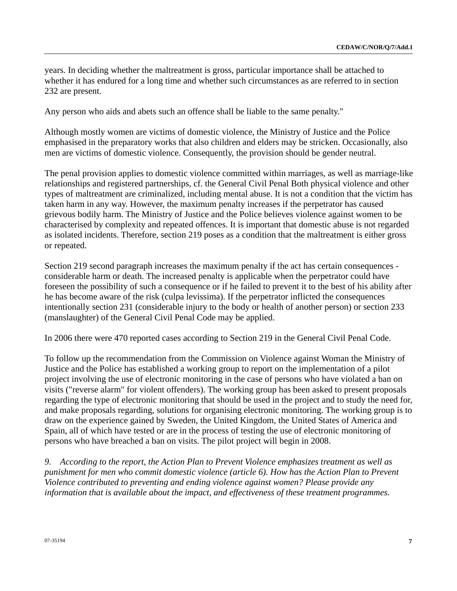years. In deciding whether the maltreatment is gross, particular importance shall be attached to whether it has endured for a long time and whether such circumstances as are referred to in section 232 are present.

Any person who aids and abets such an offence shall be liable to the same penalty."

Although mostly women are victims of domestic violence, the Ministry of Justice and the Police emphasised in the preparatory works that also children and elders may be stricken. Occasionally, also men are victims of domestic violence. Consequently, the provision should be gender neutral.

The penal provision applies to domestic violence committed within marriages, as well as marriage-like relationships and registered partnerships, cf. the General Civil Penal Both physical violence and other types of maltreatment are criminalized, including mental abuse. It is not a condition that the victim has taken harm in any way. However, the maximum penalty increases if the perpetrator has caused grievous bodily harm. The Ministry of Justice and the Police believes violence against women to be characterised by complexity and repeated offences. It is important that domestic abuse is not regarded as isolated incidents. Therefore, section 219 poses as a condition that the maltreatment is either gross or repeated.

Section 219 second paragraph increases the maximum penalty if the act has certain consequences considerable harm or death. The increased penalty is applicable when the perpetrator could have foreseen the possibility of such a consequence or if he failed to prevent it to the best of his ability after he has become aware of the risk (culpa levissima). If the perpetrator inflicted the consequences intentionally section 231 (considerable injury to the body or health of another person) or section 233 (manslaughter) of the General Civil Penal Code may be applied.

In 2006 there were 470 reported cases according to Section 219 in the General Civil Penal Code.

To follow up the recommendation from the Commission on Violence against Woman the Ministry of Justice and the Police has established a working group to report on the implementation of a pilot project involving the use of electronic monitoring in the case of persons who have violated a ban on visits ("reverse alarm" for violent offenders). The working group has been asked to present proposals regarding the type of electronic monitoring that should be used in the project and to study the need for, and make proposals regarding, solutions for organising electronic monitoring. The working group is to draw on the experience gained by Sweden, the United Kingdom, the United States of America and Spain, all of which have tested or are in the process of testing the use of electronic monitoring of persons who have breached a ban on visits. The pilot project will begin in 2008.

*9. According to the report, the Action Plan to Prevent Violence emphasizes treatment as well as punishment for men who commit domestic violence (article 6). How has the Action Plan to Prevent Violence contributed to preventing and ending violence against women? Please provide any information that is available about the impact, and effectiveness of these treatment programmes.*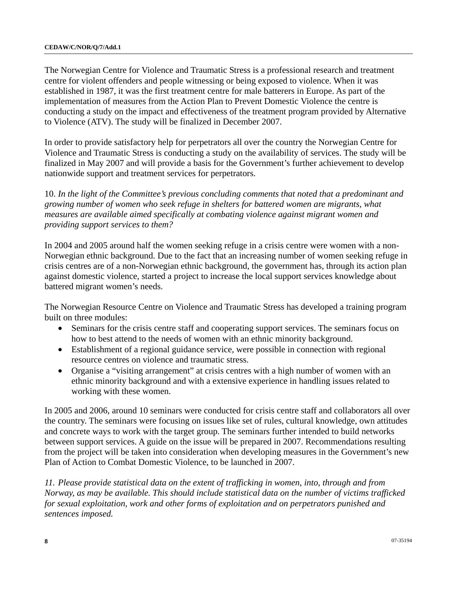The Norwegian Centre for Violence and Traumatic Stress is a professional research and treatment centre for violent offenders and people witnessing or being exposed to violence. When it was established in 1987, it was the first treatment centre for male batterers in Europe. As part of the implementation of measures from the Action Plan to Prevent Domestic Violence the centre is conducting a study on the impact and effectiveness of the treatment program provided by Alternative to Violence (ATV). The study will be finalized in December 2007.

In order to provide satisfactory help for perpetrators all over the country the Norwegian Centre for Violence and Traumatic Stress is conducting a study on the availability of services. The study will be finalized in May 2007 and will provide a basis for the Government's further achievement to develop nationwide support and treatment services for perpetrators.

10. *In the light of the Committee's previous concluding comments that noted that a predominant and growing number of women who seek refuge in shelters for battered women are migrants, what measures are available aimed specifically at combating violence against migrant women and providing support services to them?* 

In 2004 and 2005 around half the women seeking refuge in a crisis centre were women with a non-Norwegian ethnic background. Due to the fact that an increasing number of women seeking refuge in crisis centres are of a non-Norwegian ethnic background, the government has, through its action plan against domestic violence, started a project to increase the local support services knowledge about battered migrant women's needs.

The Norwegian Resource Centre on Violence and Traumatic Stress has developed a training program built on three modules:

- Seminars for the crisis centre staff and cooperating support services. The seminars focus on how to best attend to the needs of women with an ethnic minority background.
- Establishment of a regional guidance service, were possible in connection with regional resource centres on violence and traumatic stress.
- Organise a "visiting arrangement" at crisis centres with a high number of women with an ethnic minority background and with a extensive experience in handling issues related to working with these women.

In 2005 and 2006, around 10 seminars were conducted for crisis centre staff and collaborators all over the country. The seminars were focusing on issues like set of rules, cultural knowledge, own attitudes and concrete ways to work with the target group. The seminars further intended to build networks between support services. A guide on the issue will be prepared in 2007. Recommendations resulting from the project will be taken into consideration when developing measures in the Government's new Plan of Action to Combat Domestic Violence, to be launched in 2007.

*11. Please provide statistical data on the extent of trafficking in women, into, through and from Norway, as may be available. This should include statistical data on the number of victims trafficked for sexual exploitation, work and other forms of exploitation and on perpetrators punished and sentences imposed.*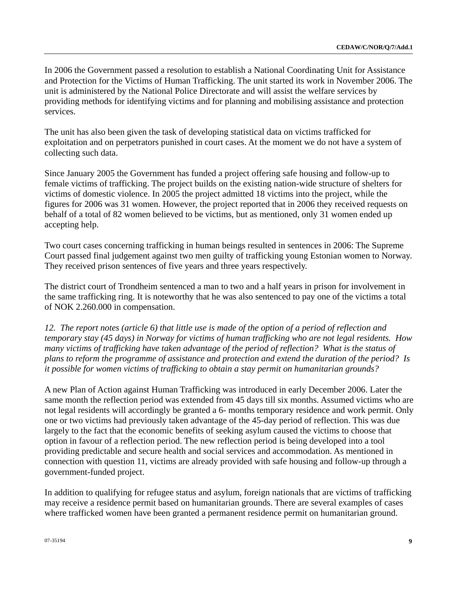In 2006 the Government passed a resolution to establish a National Coordinating Unit for Assistance and Protection for the Victims of Human Trafficking. The unit started its work in November 2006. The unit is administered by the National Police Directorate and will assist the welfare services by providing methods for identifying victims and for planning and mobilising assistance and protection services.

The unit has also been given the task of developing statistical data on victims trafficked for exploitation and on perpetrators punished in court cases. At the moment we do not have a system of collecting such data.

Since January 2005 the Government has funded a project offering safe housing and follow-up to female victims of trafficking. The project builds on the existing nation-wide structure of shelters for victims of domestic violence. In 2005 the project admitted 18 victims into the project, while the figures for 2006 was 31 women. However, the project reported that in 2006 they received requests on behalf of a total of 82 women believed to be victims, but as mentioned, only 31 women ended up accepting help.

Two court cases concerning trafficking in human beings resulted in sentences in 2006: The Supreme Court passed final judgement against two men guilty of trafficking young Estonian women to Norway. They received prison sentences of five years and three years respectively.

The district court of Trondheim sentenced a man to two and a half years in prison for involvement in the same trafficking ring. It is noteworthy that he was also sentenced to pay one of the victims a total of NOK 2.260.000 in compensation.

*12. The report notes (article 6) that little use is made of the option of a period of reflection and temporary stay (45 days) in Norway for victims of human trafficking who are not legal residents. How many victims of trafficking have taken advantage of the period of reflection? What is the status of plans to reform the programme of assistance and protection and extend the duration of the period? Is it possible for women victims of trafficking to obtain a stay permit on humanitarian grounds?* 

A new Plan of Action against Human Trafficking was introduced in early December 2006. Later the same month the reflection period was extended from 45 days till six months. Assumed victims who are not legal residents will accordingly be granted a 6- months temporary residence and work permit. Only one or two victims had previously taken advantage of the 45-day period of reflection. This was due largely to the fact that the economic benefits of seeking asylum caused the victims to choose that option in favour of a reflection period. The new reflection period is being developed into a tool providing predictable and secure health and social services and accommodation. As mentioned in connection with question 11, victims are already provided with safe housing and follow-up through a government-funded project.

In addition to qualifying for refugee status and asylum, foreign nationals that are victims of trafficking may receive a residence permit based on humanitarian grounds. There are several examples of cases where trafficked women have been granted a permanent residence permit on humanitarian ground.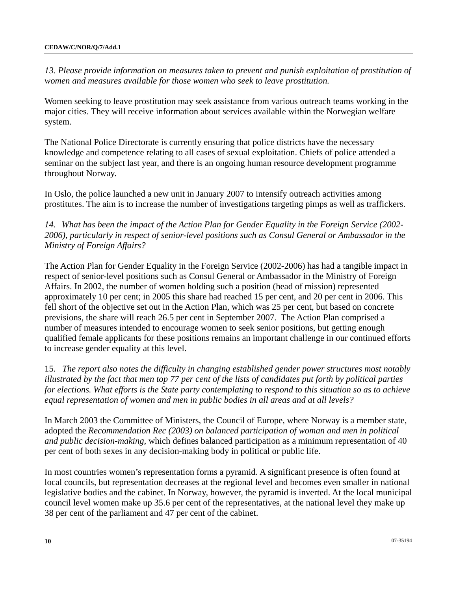*13. Please provide information on measures taken to prevent and punish exploitation of prostitution of women and measures available for those women who seek to leave prostitution.* 

Women seeking to leave prostitution may seek assistance from various outreach teams working in the major cities. They will receive information about services available within the Norwegian welfare system.

The National Police Directorate is currently ensuring that police districts have the necessary knowledge and competence relating to all cases of sexual exploitation. Chiefs of police attended a seminar on the subject last year, and there is an ongoing human resource development programme throughout Norway.

In Oslo, the police launched a new unit in January 2007 to intensify outreach activities among prostitutes. The aim is to increase the number of investigations targeting pimps as well as traffickers.

*14. What has been the impact of the Action Plan for Gender Equality in the Foreign Service (2002- 2006), particularly in respect of senior-level positions such as Consul General or Ambassador in the Ministry of Foreign Affairs?* 

The Action Plan for Gender Equality in the Foreign Service (2002-2006) has had a tangible impact in respect of senior-level positions such as Consul General or Ambassador in the Ministry of Foreign Affairs. In 2002, the number of women holding such a position (head of mission) represented approximately 10 per cent; in 2005 this share had reached 15 per cent, and 20 per cent in 2006. This fell short of the objective set out in the Action Plan, which was 25 per cent, but based on concrete previsions, the share will reach 26.5 per cent in September 2007. The Action Plan comprised a number of measures intended to encourage women to seek senior positions, but getting enough qualified female applicants for these positions remains an important challenge in our continued efforts to increase gender equality at this level.

15. *The report also notes the difficulty in changing established gender power structures most notably illustrated by the fact that men top 77 per cent of the lists of candidates put forth by political parties for elections. What efforts is the State party contemplating to respond to this situation so as to achieve equal representation of women and men in public bodies in all areas and at all levels?* 

In March 2003 the Committee of Ministers, the Council of Europe, where Norway is a member state, adopted the *Recommendation Rec (2003) on balanced participation of woman and men in political and public decision-making,* which defines balanced participation as a minimum representation of 40 per cent of both sexes in any decision-making body in political or public life.

In most countries women's representation forms a pyramid. A significant presence is often found at local councils, but representation decreases at the regional level and becomes even smaller in national legislative bodies and the cabinet. In Norway, however, the pyramid is inverted. At the local municipal council level women make up 35.6 per cent of the representatives, at the national level they make up 38 per cent of the parliament and 47 per cent of the cabinet.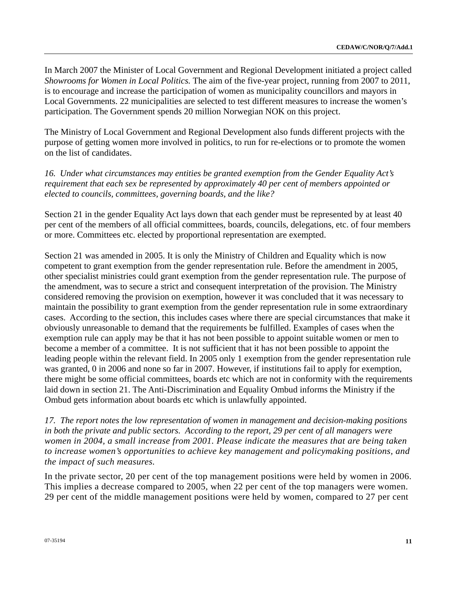In March 2007 the Minister of Local Government and Regional Development initiated a project called *Showrooms for Women in Local Politics.* The aim of the five-year project, running from 2007 to 2011, is to encourage and increase the participation of women as municipality councillors and mayors in Local Governments. 22 municipalities are selected to test different measures to increase the women's participation. The Government spends 20 million Norwegian NOK on this project.

The Ministry of Local Government and Regional Development also funds different projects with the purpose of getting women more involved in politics, to run for re-elections or to promote the women on the list of candidates.

*16. Under what circumstances may entities be granted exemption from the Gender Equality Act's requirement that each sex be represented by approximately 40 per cent of members appointed or elected to councils, committees, governing boards, and the like?* 

Section 21 in the gender Equality Act lays down that each gender must be represented by at least 40 per cent of the members of all official committees, boards, councils, delegations, etc. of four members or more. Committees etc. elected by proportional representation are exempted.

Section 21 was amended in 2005. It is only the Ministry of Children and Equality which is now competent to grant exemption from the gender representation rule. Before the amendment in 2005, other specialist ministries could grant exemption from the gender representation rule. The purpose of the amendment, was to secure a strict and consequent interpretation of the provision. The Ministry considered removing the provision on exemption, however it was concluded that it was necessary to maintain the possibility to grant exemption from the gender representation rule in some extraordinary cases. According to the section, this includes cases where there are special circumstances that make it obviously unreasonable to demand that the requirements be fulfilled. Examples of cases when the exemption rule can apply may be that it has not been possible to appoint suitable women or men to become a member of a committee. It is not sufficient that it has not been possible to appoint the leading people within the relevant field. In 2005 only 1 exemption from the gender representation rule was granted, 0 in 2006 and none so far in 2007. However, if institutions fail to apply for exemption, there might be some official committees, boards etc which are not in conformity with the requirements laid down in section 21. The Anti-Discrimination and Equality Ombud informs the Ministry if the Ombud gets information about boards etc which is unlawfully appointed.

*17. The report notes the low representation of women in management and decision-making positions in both the private and public sectors. According to the report, 29 per cent of all managers were women in 2004, a small increase from 2001. Please indicate the measures that are being taken to increase women's opportunities to achieve key management and policymaking positions, and the impact of such measures.* 

In the private sector, 20 per cent of the top management positions were held by women in 2006. This implies a decrease compared to 2005, when 22 per cent of the top managers were women. 29 per cent of the middle management positions were held by women, compared to 27 per cent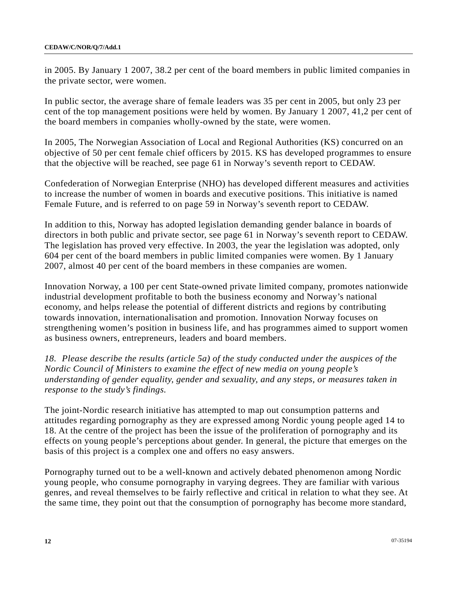in 2005. By January 1 2007, 38.2 per cent of the board members in public limited companies in the private sector, were women.

In public sector, the average share of female leaders was 35 per cent in 2005, but only 23 per cent of the top management positions were held by women. By January 1 2007, 41,2 per cent of the board members in companies wholly-owned by the state, were women.

In 2005, The Norwegian Association of Local and Regional Authorities (KS) concurred on an objective of 50 per cent female chief officers by 2015. KS has developed programmes to ensure that the objective will be reached, see page 61 in Norway's seventh report to CEDAW.

Confederation of Norwegian Enterprise (NHO) has developed different measures and activities to increase the number of women in boards and executive positions. This initiative is named Female Future, and is referred to on page 59 in Norway's seventh report to CEDAW.

In addition to this, Norway has adopted legislation demanding gender balance in boards of directors in both public and private sector, see page 61 in Norway's seventh report to CEDAW. The legislation has proved very effective. In 2003, the year the legislation was adopted, only 604 per cent of the board members in public limited companies were women. By 1 January 2007, almost 40 per cent of the board members in these companies are women.

Innovation Norway, a 100 per cent State-owned private limited company, promotes nationwide industrial development profitable to both the business economy and Norway's national economy, and helps release the potential of different districts and regions by contributing towards innovation, internationalisation and promotion. Innovation Norway focuses on strengthening women's position in business life, and has programmes aimed to support women as business owners, entrepreneurs, leaders and board members.

*18. Please describe the results (article 5a) of the study conducted under the auspices of the Nordic Council of Ministers to examine the effect of new media on young people's understanding of gender equality, gender and sexuality, and any steps, or measures taken in response to the study's findings.* 

The joint-Nordic research initiative has attempted to map out consumption patterns and attitudes regarding pornography as they are expressed among Nordic young people aged 14 to 18. At the centre of the project has been the issue of the proliferation of pornography and its effects on young people's perceptions about gender. In general, the picture that emerges on the basis of this project is a complex one and offers no easy answers.

Pornography turned out to be a well-known and actively debated phenomenon among Nordic young people, who consume pornography in varying degrees. They are familiar with various genres, and reveal themselves to be fairly reflective and critical in relation to what they see. At the same time, they point out that the consumption of pornography has become more standard,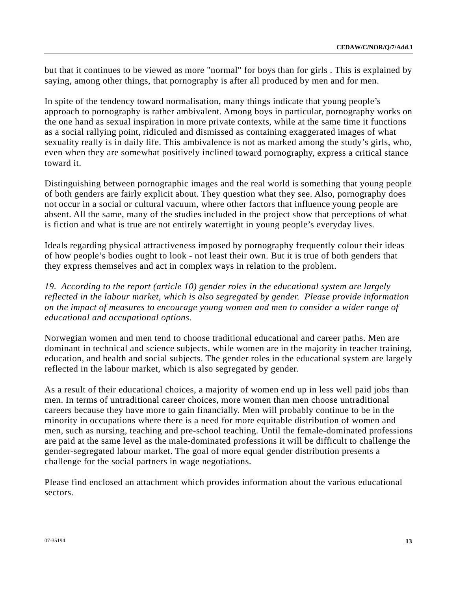but that it continues to be viewed as more "normal" for boys than for girls . This is explained by saying, among other things, that pornography is after all produced by men and for men.

In spite of the tendency toward normalisation, many things indicate that young people's approach to pornography is rather ambivalent. Among boys in particular, pornography works on the one hand as sexual inspiration in more private contexts, while at the same time it functions as a social rallying point, ridiculed and dismissed as containing exaggerated images of what sexuality really is in daily life. This ambivalence is not as marked among the study's girls, who, even when they are somewhat positively inclined toward pornography, express a critical stance toward it.

Distinguishing between pornographic images and the real world is something that young people of both genders are fairly explicit about. They question what they see. Also, pornography does not occur in a social or cultural vacuum, where other factors that influence young people are absent. All the same, many of the studies included in the project show that perceptions of what is fiction and what is true are not entirely watertight in young people's everyday lives.

Ideals regarding physical attractiveness imposed by pornography frequently colour their ideas of how people's bodies ought to look - not least their own. But it is true of both genders that they express themselves and act in complex ways in relation to the problem.

*19. According to the report (article 10) gender roles in the educational system are largely reflected in the labour market, which is also segregated by gender. Please provide information on the impact of measures to encourage young women and men to consider a wider range of educational and occupational options.* 

Norwegian women and men tend to choose traditional educational and career paths. Men are dominant in technical and science subjects, while women are in the majority in teacher training, education, and health and social subjects. The gender roles in the educational system are largely reflected in the labour market, which is also segregated by gender.

As a result of their educational choices, a majority of women end up in less well paid jobs than men. In terms of untraditional career choices, more women than men choose untraditional careers because they have more to gain financially. Men will probably continue to be in the minority in occupations where there is a need for more equitable distribution of women and men, such as nursing, teaching and pre-school teaching. Until the female-dominated professions are paid at the same level as the male-dominated professions it will be difficult to challenge the gender-segregated labour market. The goal of more equal gender distribution presents a challenge for the social partners in wage negotiations.

Please find enclosed an attachment which provides information about the various educational sectors.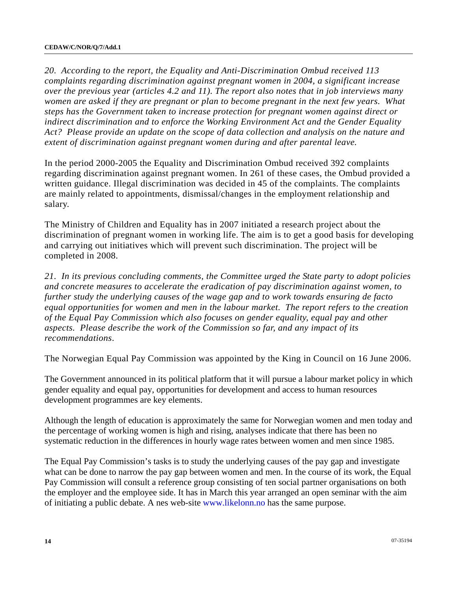*20. According to the report, the Equality and Anti-Discrimination Ombud received 113 complaints regarding discrimination against pregnant women in 2004, a significant increase over the previous year (articles 4.2 and 11). The report also notes that in job interviews many women are asked if they are pregnant or plan to become pregnant in the next few years. What steps has the Government taken to increase protection for pregnant women against direct or indirect discrimination and to enforce the Working Environment Act and the Gender Equality Act? Please provide an update on the scope of data collection and analysis on the nature and extent of discrimination against pregnant women during and after parental leave.* 

In the period 2000-2005 the Equality and Discrimination Ombud received 392 complaints regarding discrimination against pregnant women. In 261 of these cases, the Ombud provided a written guidance. Illegal discrimination was decided in 45 of the complaints. The complaints are mainly related to appointments, dismissal/changes in the employment relationship and salary.

The Ministry of Children and Equality has in 2007 initiated a research project about the discrimination of pregnant women in working life. The aim is to get a good basis for developing and carrying out initiatives which will prevent such discrimination. The project will be completed in 2008.

*21. In its previous concluding comments, the Committee urged the State party to adopt policies and concrete measures to accelerate the eradication of pay discrimination against women, to further study the underlying causes of the wage gap and to work towards ensuring de facto equal opportunities for women and men in the labour market. The report refers to the creation of the Equal Pay Commission which also focuses on gender equality, equal pay and other aspects. Please describe the work of the Commission so far, and any impact of its recommendations*.

The Norwegian Equal Pay Commission was appointed by the King in Council on 16 June 2006.

The Government announced in its political platform that it will pursue a labour market policy in which gender equality and equal pay, opportunities for development and access to human resources development programmes are key elements.

Although the length of education is approximately the same for Norwegian women and men today and the percentage of working women is high and rising, analyses indicate that there has been no systematic reduction in the differences in hourly wage rates between women and men since 1985.

The Equal Pay Commission's tasks is to study the underlying causes of the pay gap and investigate what can be done to narrow the pay gap between women and men. In the course of its work, the Equal Pay Commission will consult a reference group consisting of ten social partner organisations on both the employer and the employee side. It has in March this year arranged an open seminar with the aim of initiating a public debate. A nes web-site [www.likelonn.no](http://www.likelonn.no/) has the same purpose.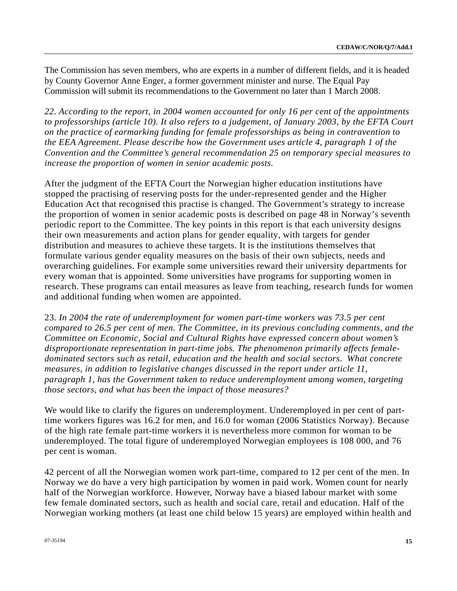The Commission has seven members, who are experts in a number of different fields, and it is headed by County Governor Anne Enger, a former government minister and nurse. The Equal Pay Commission will submit its recommendations to the Government no later than 1 March 2008.

*22. According to the report, in 2004 women accounted for only 16 per cent of the appointments to professorships (article 10). It also refers to a judgement, of January 2003, by the EFTA Court on the practice of earmarking funding for female professorships as being in contravention to the EEA Agreement. Please describe how the Government uses article 4, paragraph 1 of the Convention and the Committee's general recommendation 25 on temporary special measures to increase the proportion of women in senior academic posts.* 

After the judgment of the EFTA Court the Norwegian higher education institutions have stopped the practising of reserving posts for the under-represented gender and the Higher Education Act that recognised this practise is changed. The Government's strategy to increase the proportion of women in senior academic posts is described on page 48 in Norway's seventh periodic report to the Committee. The key points in this report is that each university designs their own measurements and action plans for gender equality, with targets for gender distribution and measures to achieve these targets. It is the institutions themselves that formulate various gender equality measures on the basis of their own subjects, needs and overarching guidelines. For example some universities reward their university departments for every woman that is appointed. Some universities have programs for supporting women in research. These programs can entail measures as leave from teaching, research funds for women and additional funding when women are appointed.

23. *In 2004 the rate of underemployment for women part-time workers was 73.5 per cent compared to 26.5 per cent of men. The Committee, in its previous concluding comments, and the Committee on Economic, Social and Cultural Rights have expressed concern about women's disproportionate representation in part-time jobs. The phenomenon primarily affects femaledominated sectors such as retail, education and the health and social sectors. What concrete measures, in addition to legislative changes discussed in the report under article 11, paragraph 1, has the Government taken to reduce underemployment among women, targeting those sectors, and what has been the impact of those measures?* 

We would like to clarify the figures on underemployment. Underemployed in per cent of parttime workers figures was 16.2 for men, and 16.0 for woman (2006 Statistics Norway). Because of the high rate female part-time workers it is nevertheless more common for woman to be underemployed. The total figure of underemployed Norwegian employees is 108 000, and 76 per cent is woman.

42 percent of all the Norwegian women work part-time, compared to 12 per cent of the men. In Norway we do have a very high participation by women in paid work. Women count for nearly half of the Norwegian workforce. However, Norway have a biased labour market with some few female dominated sectors, such as health and social care, retail and education. Half of the Norwegian working mothers (at least one child below 15 years) are employed within health and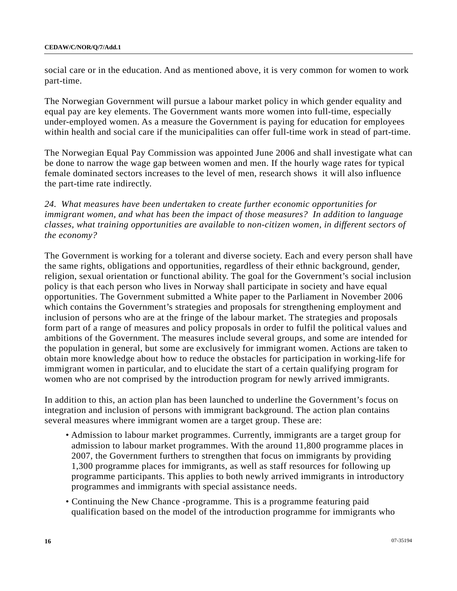social care or in the education. And as mentioned above, it is very common for women to work part-time.

The Norwegian Government will pursue a labour market policy in which gender equality and equal pay are key elements. The Government wants more women into full-time, especially under-employed women. As a measure the Government is paying for education for employees within health and social care if the municipalities can offer full-time work in stead of part-time.

The Norwegian Equal Pay Commission was appointed June 2006 and shall investigate what can be done to narrow the wage gap between women and men. If the hourly wage rates for typical female dominated sectors increases to the level of men, research shows it will also influence the part-time rate indirectly.

*24. What measures have been undertaken to create further economic opportunities for immigrant women, and what has been the impact of those measures? In addition to language classes, what training opportunities are available to non-citizen women, in different sectors of the economy?*

The Government is working for a tolerant and diverse society. Each and every person shall have the same rights, obligations and opportunities, regardless of their ethnic background, gender, religion, sexual orientation or functional ability. The goal for the Government's social inclusion policy is that each person who lives in Norway shall participate in society and have equal opportunities. The Government submitted a White paper to the Parliament in November 2006 which contains the Government's strategies and proposals for strengthening employment and inclusion of persons who are at the fringe of the labour market. The strategies and proposals form part of a range of measures and policy proposals in order to fulfil the political values and ambitions of the Government. The measures include several groups, and some are intended for the population in general, but some are exclusively for immigrant women. Actions are taken to obtain more knowledge about how to reduce the obstacles for participation in working-life for immigrant women in particular, and to elucidate the start of a certain qualifying program for women who are not comprised by the introduction program for newly arrived immigrants.

In addition to this, an action plan has been launched to underline the Government's focus on integration and inclusion of persons with immigrant background. The action plan contains several measures where immigrant women are a target group. These are:

- Admission to labour market programmes. Currently, immigrants are a target group for admission to labour market programmes. With the around 11,800 programme places in 2007, the Government furthers to strengthen that focus on immigrants by providing 1,300 programme places for immigrants, as well as staff resources for following up programme participants. This applies to both newly arrived immigrants in introductory programmes and immigrants with special assistance needs.
- Continuing the New Chance -programme. This is a programme featuring paid qualification based on the model of the introduction programme for immigrants who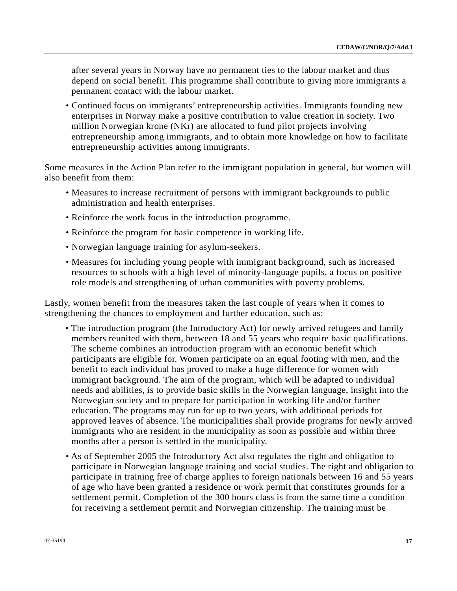after several years in Norway have no permanent ties to the labour market and thus depend on social benefit. This programme shall contribute to giving more immigrants a permanent contact with the labour market.

• Continued focus on immigrants' entrepreneurship activities. Immigrants founding new enterprises in Norway make a positive contribution to value creation in society. Two million Norwegian krone (NKr) are allocated to fund pilot projects involving entrepreneurship among immigrants, and to obtain more knowledge on how to facilitate entrepreneurship activities among immigrants.

Some measures in the Action Plan refer to the immigrant population in general, but women will also benefit from them:

- Measures to increase recruitment of persons with immigrant backgrounds to public administration and health enterprises.
- Reinforce the work focus in the introduction programme.
- Reinforce the program for basic competence in working life.
- Norwegian language training for asylum-seekers.
- Measures for including young people with immigrant background, such as increased resources to schools with a high level of minority-language pupils, a focus on positive role models and strengthening of urban communities with poverty problems.

Lastly, women benefit from the measures taken the last couple of years when it comes to strengthening the chances to employment and further education, such as:

- The introduction program (the Introductory Act) for newly arrived refugees and family members reunited with them, between 18 and 55 years who require basic qualifications. The scheme combines an introduction program with an economic benefit which participants are eligible for. Women participate on an equal footing with men, and the benefit to each individual has proved to make a huge difference for women with immigrant background. The aim of the program, which will be adapted to individual needs and abilities, is to provide basic skills in the Norwegian language, insight into the Norwegian society and to prepare for participation in working life and/or further education. The programs may run for up to two years, with additional periods for approved leaves of absence. The municipalities shall provide programs for newly arrived immigrants who are resident in the municipality as soon as possible and within three months after a person is settled in the municipality.
- As of September 2005 the Introductory Act also regulates the right and obligation to participate in Norwegian language training and social studies. The right and obligation to participate in training free of charge applies to foreign nationals between 16 and 55 years of age who have been granted a residence or work permit that constitutes grounds for a settlement permit. Completion of the 300 hours class is from the same time a condition for receiving a settlement permit and Norwegian citizenship. The training must be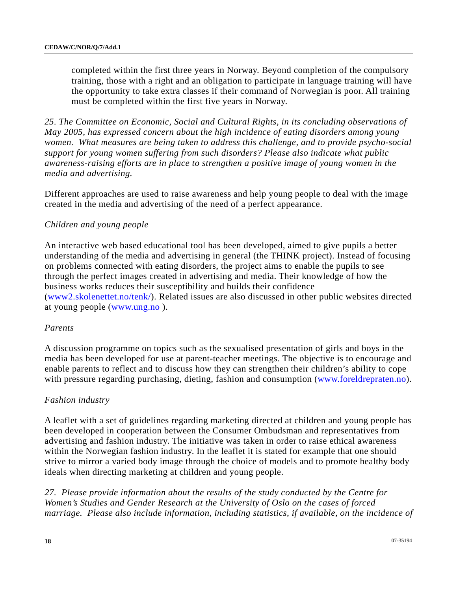completed within the first three years in Norway. Beyond completion of the compulsory training, those with a right and an obligation to participate in language training will have the opportunity to take extra classes if their command of Norwegian is poor. All training must be completed within the first five years in Norway.

*25. The Committee on Economic, Social and Cultural Rights, in its concluding observations of May 2005, has expressed concern about the high incidence of eating disorders among young women. What measures are being taken to address this challenge, and to provide psycho-social support for young women suffering from such disorders? Please also indicate what public awareness-raising efforts are in place to strengthen a positive image of young women in the media and advertising.* 

Different approaches are used to raise awareness and help young people to deal with the image created in the media and advertising of the need of a perfect appearance.

### *Children and young people*

An interactive web based educational tool has been developed, aimed to give pupils a better understanding of the media and advertising in general (the THINK project). Instead of focusing on problems connected with eating disorders, the project aims to enable the pupils to see through the perfect images created in advertising and media. Their knowledge of how the business works reduces their susceptibility and builds their confidence ([www2.skolenettet.no/tenk/](http://www2.skolenettet.no/tenk/startside.html)). Related issues are also discussed in other public websites directed at young people [\(www.ung.no](http://www.ung.no/) ).

#### *Parents*

A discussion programme on topics such as the sexualised presentation of girls and boys in the media has been developed for use at parent-teacher meetings. The objective is to encourage and enable parents to reflect and to discuss how they can strengthen their children's ability to cope with pressure regarding purchasing, dieting, fashion and consumption ([www.foreldrepraten.no](http://www.foreldrepraten.no/)).

#### *Fashion industry*

A leaflet with a set of guidelines regarding marketing directed at children and young people has been developed in cooperation between the Consumer Ombudsman and representatives from advertising and fashion industry. The initiative was taken in order to raise ethical awareness within the Norwegian fashion industry. In the leaflet it is stated for example that one should strive to mirror a varied body image through the choice of models and to promote healthy body ideals when directing marketing at children and young people.

*27. Please provide information about the results of the study conducted by the Centre for Women's Studies and Gender Research at the University of Oslo on the cases of forced marriage. Please also include information, including statistics, if available, on the incidence of*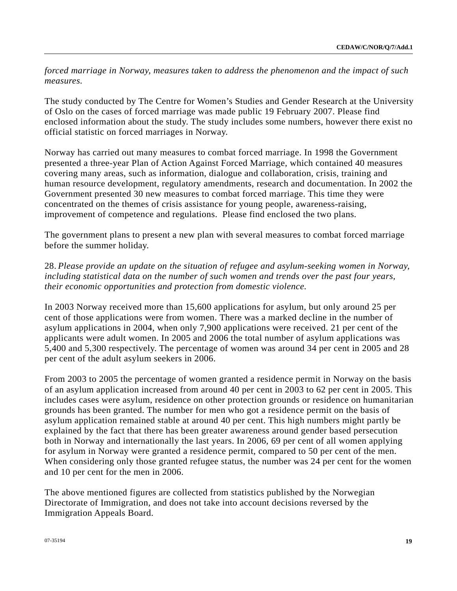*forced marriage in Norway, measures taken to address the phenomenon and the impact of such measures.* 

The study conducted by The Centre for Women's Studies and Gender Research at the University of Oslo on the cases of forced marriage was made public 19 February 2007. Please find enclosed information about the study. The study includes some numbers, however there exist no official statistic on forced marriages in Norway.

Norway has carried out many measures to combat forced marriage. In 1998 the Government presented a three-year Plan of Action Against Forced Marriage, which contained 40 measures covering many areas, such as information, dialogue and collaboration, crisis, training and human resource development, regulatory amendments, research and documentation. In 2002 the Government presented 30 new measures to combat forced marriage. This time they were concentrated on the themes of crisis assistance for young people, awareness-raising, improvement of competence and regulations. Please find enclosed the two plans.

The government plans to present a new plan with several measures to combat forced marriage before the summer holiday.

# 28. *Please provide an update on the situation of refugee and asylum-seeking women in Norway, including statistical data on the number of such women and trends over the past four years, their economic opportunities and protection from domestic violence.*

In 2003 Norway received more than 15,600 applications for asylum, but only around 25 per cent of those applications were from women. There was a marked decline in the number of asylum applications in 2004, when only 7,900 applications were received. 21 per cent of the applicants were adult women. In 2005 and 2006 the total number of asylum applications was 5,400 and 5,300 respectively. The percentage of women was around 34 per cent in 2005 and 28 per cent of the adult asylum seekers in 2006.

From 2003 to 2005 the percentage of women granted a residence permit in Norway on the basis of an asylum application increased from around 40 per cent in 2003 to 62 per cent in 2005. This includes cases were asylum, residence on other protection grounds or residence on humanitarian grounds has been granted. The number for men who got a residence permit on the basis of asylum application remained stable at around 40 per cent. This high numbers might partly be explained by the fact that there has been greater awareness around gender based persecution both in Norway and internationally the last years. In 2006, 69 per cent of all women applying for asylum in Norway were granted a residence permit, compared to 50 per cent of the men. When considering only those granted refugee status, the number was 24 per cent for the women and 10 per cent for the men in 2006.

The above mentioned figures are collected from statistics published by the Norwegian Directorate of Immigration, and does not take into account decisions reversed by the Immigration Appeals Board.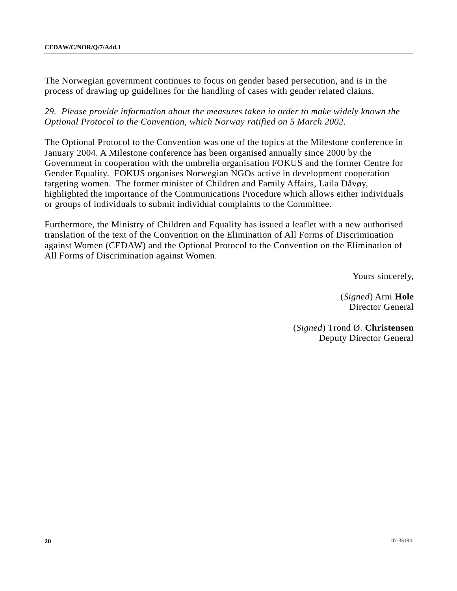The Norwegian government continues to focus on gender based persecution, and is in the process of drawing up guidelines for the handling of cases with gender related claims.

*29. Please provide information about the measures taken in order to make widely known the Optional Protocol to the Convention, which Norway ratified on 5 March 2002.* 

The Optional Protocol to the Convention was one of the topics at the Milestone conference in January 2004. A Milestone conference has been organised annually since 2000 by the Government in cooperation with the umbrella organisation FOKUS and the former Centre for Gender Equality. FOKUS organises Norwegian NGOs active in development cooperation targeting women. The former minister of Children and Family Affairs, Laila Dåvøy, highlighted the importance of the Communications Procedure which allows either individuals or groups of individuals to submit individual complaints to the Committee.

Furthermore, the Ministry of Children and Equality has issued a leaflet with a new authorised translation of the text of the Convention on the Elimination of All Forms of Discrimination against Women (CEDAW) and the Optional Protocol to the Convention on the Elimination of All Forms of Discrimination against Women.

Yours sincerely,

(*Signed*) Arni **Hole** Director General

(*Signed*) Trond Ø. **Christensen** Deputy Director General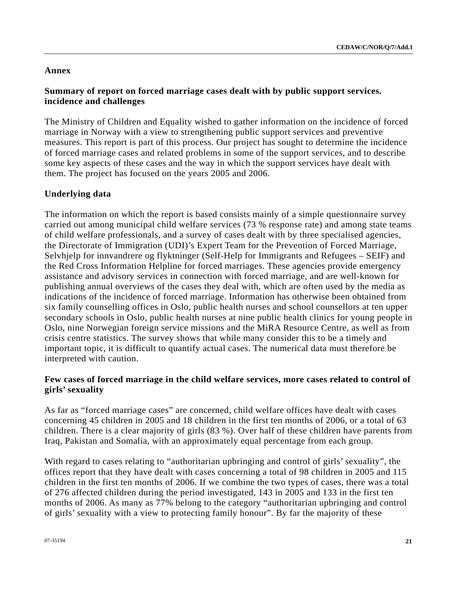### **Annex**

# **Summary of report on forced marriage cases dealt with by public support services. incidence and challenges**

The Ministry of Children and Equality wished to gather information on the incidence of forced marriage in Norway with a view to strengthening public support services and preventive measures. This report is part of this process. Our project has sought to determine the incidence of forced marriage cases and related problems in some of the support services, and to describe some key aspects of these cases and the way in which the support services have dealt with them. The project has focused on the years 2005 and 2006.

# **Underlying data**

The information on which the report is based consists mainly of a simple questionnaire survey carried out among municipal child welfare services (73 % response rate) and among state teams of child welfare professionals, and a survey of cases dealt with by three specialised agencies, the Directorate of Immigration (UDI)'s Expert Team for the Prevention of Forced Marriage, Selvhjelp for innvandrere og flyktninger (Self-Help for Immigrants and Refugees – SEIF) and the Red Cross Information Helpline for forced marriages. These agencies provide emergency assistance and advisory services in connection with forced marriage, and are well-known for publishing annual overviews of the cases they deal with, which are often used by the media as indications of the incidence of forced marriage. Information has otherwise been obtained from six family counselling offices in Oslo, public health nurses and school counsellors at ten upper secondary schools in Oslo, public health nurses at nine public health clinics for young people in Oslo, nine Norwegian foreign service missions and the MiRA Resource Centre, as well as from crisis centre statistics. The survey shows that while many consider this to be a timely and important topic, it is difficult to quantify actual cases. The numerical data must therefore be interpreted with caution.

# **Few cases of forced marriage in the child welfare services, more cases related to control of girls' sexuality**

As far as "forced marriage cases" are concerned, child welfare offices have dealt with cases concerning 45 children in 2005 and 18 children in the first ten months of 2006, or a total of 63 children. There is a clear majority of girls (83 %). Over half of these children have parents from Iraq, Pakistan and Somalia, with an approximately equal percentage from each group.

With regard to cases relating to "authoritarian upbringing and control of girls' sexuality", the offices report that they have dealt with cases concerning a total of 98 children in 2005 and 115 children in the first ten months of 2006. If we combine the two types of cases, there was a total of 276 affected children during the period investigated, 143 in 2005 and 133 in the first ten months of 2006. As many as 77% belong to the category "authoritarian upbringing and control of girls' sexuality with a view to protecting family honour". By far the majority of these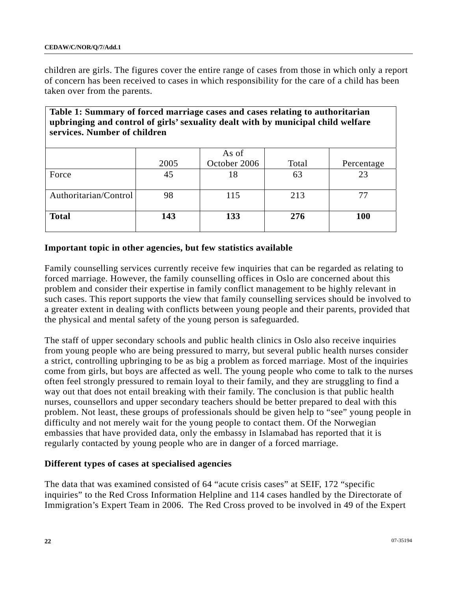children are girls. The figures cover the entire range of cases from those in which only a report of concern has been received to cases in which responsibility for the care of a child has been taken over from the parents.

| Table 1: Summary of forced marriage cases and cases relating to authoritarian<br>upbringing and control of girls' sexuality dealt with by municipal child welfare<br>services. Number of children |            |                             |             |                  |  |  |  |  |
|---------------------------------------------------------------------------------------------------------------------------------------------------------------------------------------------------|------------|-----------------------------|-------------|------------------|--|--|--|--|
| Force                                                                                                                                                                                             | 2005<br>45 | As of<br>October 2006<br>18 | Total<br>63 | Percentage<br>23 |  |  |  |  |
| Authoritarian/Control                                                                                                                                                                             | 98         | 115                         | 213         | 77               |  |  |  |  |
| <b>Total</b>                                                                                                                                                                                      | 143        | 133                         | 276         | 100              |  |  |  |  |

# **Important topic in other agencies, but few statistics available**

Family counselling services currently receive few inquiries that can be regarded as relating to forced marriage. However, the family counselling offices in Oslo are concerned about this problem and consider their expertise in family conflict management to be highly relevant in such cases. This report supports the view that family counselling services should be involved to a greater extent in dealing with conflicts between young people and their parents, provided that the physical and mental safety of the young person is safeguarded.

The staff of upper secondary schools and public health clinics in Oslo also receive inquiries from young people who are being pressured to marry, but several public health nurses consider a strict, controlling upbringing to be as big a problem as forced marriage. Most of the inquiries come from girls, but boys are affected as well. The young people who come to talk to the nurses often feel strongly pressured to remain loyal to their family, and they are struggling to find a way out that does not entail breaking with their family. The conclusion is that public health nurses, counsellors and upper secondary teachers should be better prepared to deal with this problem. Not least, these groups of professionals should be given help to "see" young people in difficulty and not merely wait for the young people to contact them. Of the Norwegian embassies that have provided data, only the embassy in Islamabad has reported that it is regularly contacted by young people who are in danger of a forced marriage.

## **Different types of cases at specialised agencies**

The data that was examined consisted of 64 "acute crisis cases" at SEIF, 172 "specific inquiries" to the Red Cross Information Helpline and 114 cases handled by the Directorate of Immigration's Expert Team in 2006. The Red Cross proved to be involved in 49 of the Expert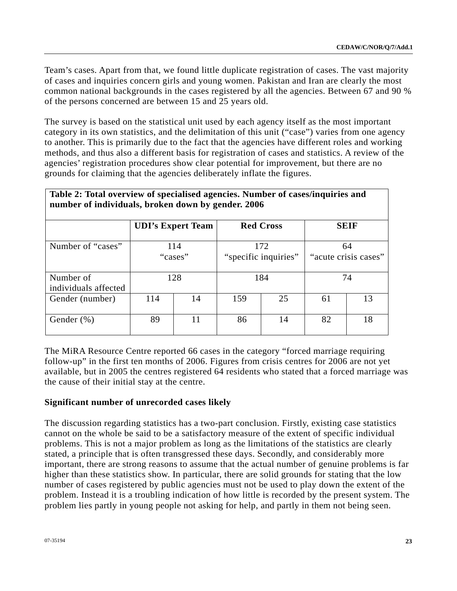Team's cases. Apart from that, we found little duplicate registration of cases. The vast majority of cases and inquiries concern girls and young women. Pakistan and Iran are clearly the most common national backgrounds in the cases registered by all the agencies. Between 67 and 90 % of the persons concerned are between 15 and 25 years old.

The survey is based on the statistical unit used by each agency itself as the most important category in its own statistics, and the delimitation of this unit ("case") varies from one agency to another. This is primarily due to the fact that the agencies have different roles and working methods, and thus also a different basis for registration of cases and statistics. A review of the agencies' registration procedures show clear potential for improvement, but there are no grounds for claiming that the agencies deliberately inflate the figures.

|                                   |     | <b>UDI's Expert Team</b> | <b>Red Cross</b><br>172<br>"specific inquiries" |    | <b>SEIF</b><br>64<br>"acute crisis cases" |    |
|-----------------------------------|-----|--------------------------|-------------------------------------------------|----|-------------------------------------------|----|
| Number of "cases"                 |     | 114<br>"cases"           |                                                 |    |                                           |    |
| Number of<br>individuals affected |     | 128                      | 184                                             |    | 74                                        |    |
| Gender (number)                   | 114 | 14                       | 159                                             | 25 | 61                                        | 13 |
| Gender $(\%)$                     | 89  |                          | 86                                              | 14 | 82                                        | 18 |

**Table 2: Total overview of specialised agencies. Number of cases/inquiries and number of individuals, broken down by gender. 2006** 

The MiRA Resource Centre reported 66 cases in the category "forced marriage requiring follow-up" in the first ten months of 2006. Figures from crisis centres for 2006 are not yet available, but in 2005 the centres registered 64 residents who stated that a forced marriage was the cause of their initial stay at the centre.

# **Significant number of unrecorded cases likely**

The discussion regarding statistics has a two-part conclusion. Firstly, existing case statistics cannot on the whole be said to be a satisfactory measure of the extent of specific individual problems. This is not a major problem as long as the limitations of the statistics are clearly stated, a principle that is often transgressed these days. Secondly, and considerably more important, there are strong reasons to assume that the actual number of genuine problems is far higher than these statistics show. In particular, there are solid grounds for stating that the low number of cases registered by public agencies must not be used to play down the extent of the problem. Instead it is a troubling indication of how little is recorded by the present system. The problem lies partly in young people not asking for help, and partly in them not being seen.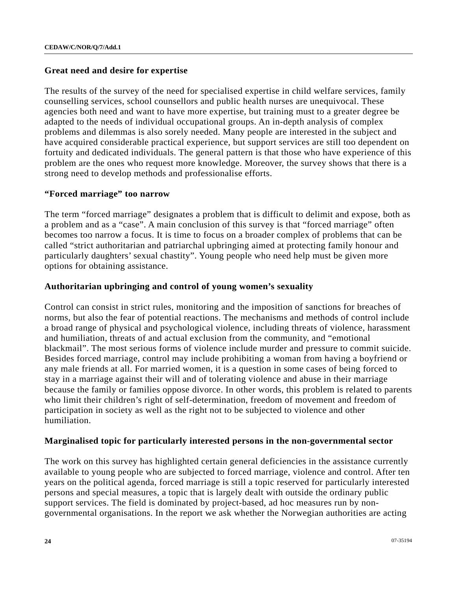### **Great need and desire for expertise**

The results of the survey of the need for specialised expertise in child welfare services, family counselling services, school counsellors and public health nurses are unequivocal. These agencies both need and want to have more expertise, but training must to a greater degree be adapted to the needs of individual occupational groups. An in-depth analysis of complex problems and dilemmas is also sorely needed. Many people are interested in the subject and have acquired considerable practical experience, but support services are still too dependent on fortuity and dedicated individuals. The general pattern is that those who have experience of this problem are the ones who request more knowledge. Moreover, the survey shows that there is a strong need to develop methods and professionalise efforts.

## **"Forced marriage" too narrow**

The term "forced marriage" designates a problem that is difficult to delimit and expose, both as a problem and as a "case". A main conclusion of this survey is that "forced marriage" often becomes too narrow a focus. It is time to focus on a broader complex of problems that can be called "strict authoritarian and patriarchal upbringing aimed at protecting family honour and particularly daughters' sexual chastity". Young people who need help must be given more options for obtaining assistance.

### **Authoritarian upbringing and control of young women's sexuality**

Control can consist in strict rules, monitoring and the imposition of sanctions for breaches of norms, but also the fear of potential reactions. The mechanisms and methods of control include a broad range of physical and psychological violence, including threats of violence, harassment and humiliation, threats of and actual exclusion from the community, and "emotional blackmail". The most serious forms of violence include murder and pressure to commit suicide. Besides forced marriage, control may include prohibiting a woman from having a boyfriend or any male friends at all. For married women, it is a question in some cases of being forced to stay in a marriage against their will and of tolerating violence and abuse in their marriage because the family or families oppose divorce. In other words, this problem is related to parents who limit their children's right of self-determination, freedom of movement and freedom of participation in society as well as the right not to be subjected to violence and other humiliation.

#### **Marginalised topic for particularly interested persons in the non-governmental sector**

The work on this survey has highlighted certain general deficiencies in the assistance currently available to young people who are subjected to forced marriage, violence and control. After ten years on the political agenda, forced marriage is still a topic reserved for particularly interested persons and special measures, a topic that is largely dealt with outside the ordinary public support services. The field is dominated by project-based, ad hoc measures run by nongovernmental organisations. In the report we ask whether the Norwegian authorities are acting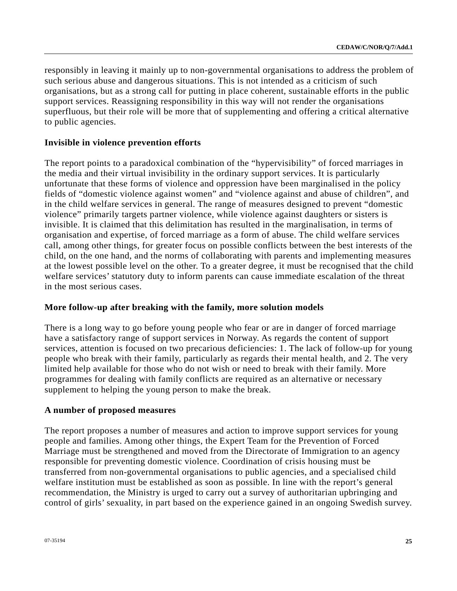responsibly in leaving it mainly up to non-governmental organisations to address the problem of such serious abuse and dangerous situations. This is not intended as a criticism of such organisations, but as a strong call for putting in place coherent, sustainable efforts in the public support services. Reassigning responsibility in this way will not render the organisations superfluous, but their role will be more that of supplementing and offering a critical alternative to public agencies.

### **Invisible in violence prevention efforts**

The report points to a paradoxical combination of the "hypervisibility" of forced marriages in the media and their virtual invisibility in the ordinary support services. It is particularly unfortunate that these forms of violence and oppression have been marginalised in the policy fields of "domestic violence against women" and "violence against and abuse of children", and in the child welfare services in general. The range of measures designed to prevent "domestic violence" primarily targets partner violence, while violence against daughters or sisters is invisible. It is claimed that this delimitation has resulted in the marginalisation, in terms of organisation and expertise, of forced marriage as a form of abuse. The child welfare services call, among other things, for greater focus on possible conflicts between the best interests of the child, on the one hand, and the norms of collaborating with parents and implementing measures at the lowest possible level on the other. To a greater degree, it must be recognised that the child welfare services' statutory duty to inform parents can cause immediate escalation of the threat in the most serious cases.

## **More follow-up after breaking with the family, more solution models**

There is a long way to go before young people who fear or are in danger of forced marriage have a satisfactory range of support services in Norway. As regards the content of support services, attention is focused on two precarious deficiencies: 1. The lack of follow-up for young people who break with their family, particularly as regards their mental health, and 2. The very limited help available for those who do not wish or need to break with their family. More programmes for dealing with family conflicts are required as an alternative or necessary supplement to helping the young person to make the break.

## **A number of proposed measures**

The report proposes a number of measures and action to improve support services for young people and families. Among other things, the Expert Team for the Prevention of Forced Marriage must be strengthened and moved from the Directorate of Immigration to an agency responsible for preventing domestic violence. Coordination of crisis housing must be transferred from non-governmental organisations to public agencies, and a specialised child welfare institution must be established as soon as possible. In line with the report's general recommendation, the Ministry is urged to carry out a survey of authoritarian upbringing and control of girls' sexuality, in part based on the experience gained in an ongoing Swedish survey.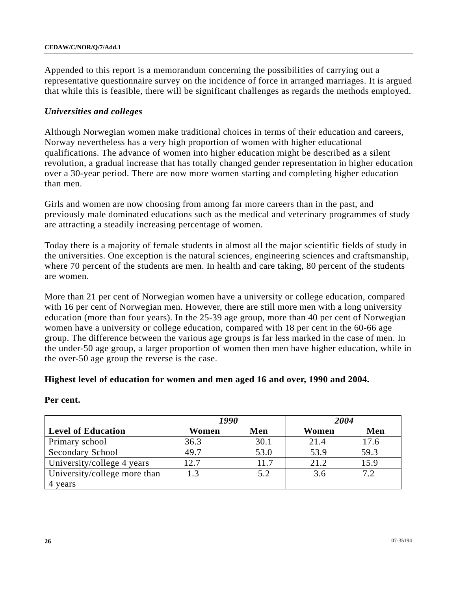Appended to this report is a memorandum concerning the possibilities of carrying out a representative questionnaire survey on the incidence of force in arranged marriages. It is argued that while this is feasible, there will be significant challenges as regards the methods employed.

### *Universities and colleges*

Although Norwegian women make traditional choices in terms of their education and careers, Norway nevertheless has a very high proportion of women with higher educational qualifications. The advance of women into higher education might be described as a silent revolution, a gradual increase that has totally changed gender representation in higher education over a 30-year period. There are now more women starting and completing higher education than men.

Girls and women are now choosing from among far more careers than in the past, and previously male dominated educations such as the medical and veterinary programmes of study are attracting a steadily increasing percentage of women.

Today there is a majority of female students in almost all the major scientific fields of study in the universities. One exception is the natural sciences, engineering sciences and craftsmanship, where 70 percent of the students are men. In health and care taking, 80 percent of the students are women.

More than 21 per cent of Norwegian women have a university or college education, compared with 16 per cent of Norwegian men. However, there are still more men with a long university education (more than four years). In the 25-39 age group, more than 40 per cent of Norwegian women have a university or college education, compared with 18 per cent in the 60-66 age group. The difference between the various age groups is far less marked in the case of men. In the under-50 age group, a larger proportion of women then men have higher education, while in the over-50 age group the reverse is the case.

#### **Highest level of education for women and men aged 16 and over, 1990 and 2004.**

|                              | 1990  |      | 2004  |      |
|------------------------------|-------|------|-------|------|
| <b>Level of Education</b>    | Women | Men  | Women | Men  |
| Primary school               | 36.3  | 30.1 | 21.4  | 17.6 |
| Secondary School             | 49.7  | 53.0 | 53.9  | 59.3 |
| University/college 4 years   | 12.7  | 11.7 | 21.2  | 15.9 |
| University/college more than |       | 5.2  | 3.6   | 7.2  |
| 4 years                      |       |      |       |      |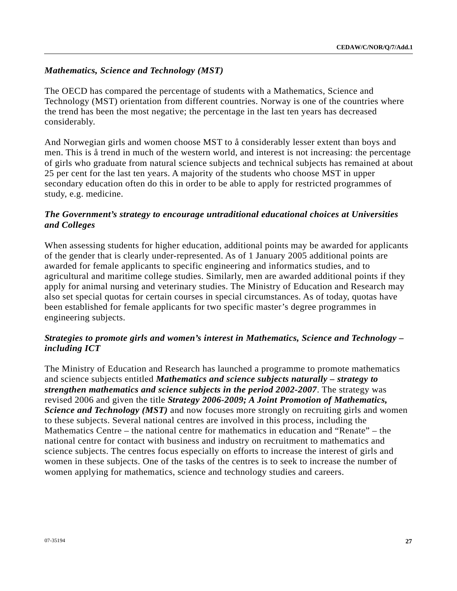# *Mathematics, Science and Technology (MST)*

The OECD has compared the percentage of students with a Mathematics, Science and Technology (MST) orientation from different countries. Norway is one of the countries where the trend has been the most negative; the percentage in the last ten years has decreased considerably.

And Norwegian girls and women choose MST to å considerably lesser extent than boys and men. This is å trend in much of the western world, and interest is not increasing: the percentage of girls who graduate from natural science subjects and technical subjects has remained at about 25 per cent for the last ten years. A majority of the students who choose MST in upper secondary education often do this in order to be able to apply for restricted programmes of study, e.g. medicine.

## *The Government's strategy to encourage untraditional educational choices at Universities and Colleges*

When assessing students for higher education, additional points may be awarded for applicants of the gender that is clearly under-represented. As of 1 January 2005 additional points are awarded for female applicants to specific engineering and informatics studies, and to agricultural and maritime college studies. Similarly, men are awarded additional points if they apply for animal nursing and veterinary studies. The Ministry of Education and Research may also set special quotas for certain courses in special circumstances. As of today, quotas have been established for female applicants for two specific master's degree programmes in engineering subjects.

# *Strategies to promote girls and women's interest in Mathematics, Science and Technology – including ICT*

The Ministry of Education and Research has launched a programme to promote mathematics and science subjects entitled *Mathematics and science subjects naturally – strategy to strengthen mathematics and science subjects in the period 2002-2007*. The strategy was revised 2006 and given the title *Strategy 2006-2009; A Joint Promotion of Mathematics, Science and Technology (MST)* and now focuses more strongly on recruiting girls and women to these subjects. Several national centres are involved in this process, including the Mathematics Centre – the national centre for mathematics in education and "Renate" – the national centre for contact with business and industry on recruitment to mathematics and science subjects. The centres focus especially on efforts to increase the interest of girls and women in these subjects. One of the tasks of the centres is to seek to increase the number of women applying for mathematics, science and technology studies and careers.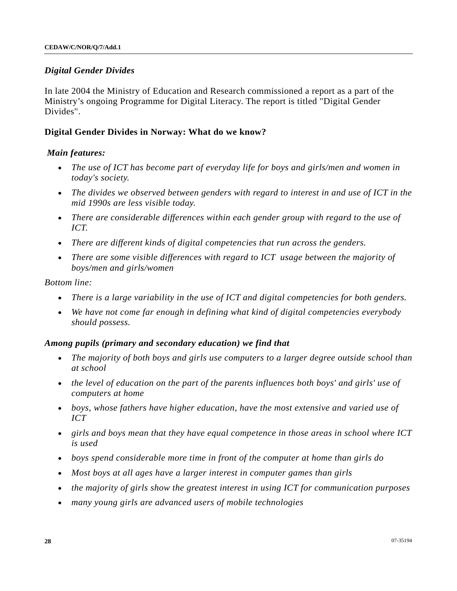### *Digital Gender Divides*

In late 2004 the Ministry of Education and Research commissioned a report as a part of the Ministry's ongoing Programme for Digital Literacy. The report is titled "Digital Gender Divides".

### **Digital Gender Divides in Norway: What do we know?**

#### *Main features:*

- *The use of ICT has become part of everyday life for boys and girls/men and women in today's society.*
- *The divides we observed between genders with regard to interest in and use of ICT in the mid 1990s are less visible today.*
- *There are considerable differences within each gender group with regard to the use of ICT.*
- *There are different kinds of digital competencies that run across the genders.*
- *There are some visible differences with regard to ICT usage between the majority of boys/men and girls/women*

#### *Bottom line:*

- *There is a large variability in the use of ICT and digital competencies for both genders.*
- *We have not come far enough in defining what kind of digital competencies everybody should possess.*

#### *Among pupils (primary and secondary education) we find that*

- *The majority of both boys and girls use computers to a larger degree outside school than at school*
- *the level of education on the part of the parents influences both boys' and girls' use of computers at home*
- *boys, whose fathers have higher education, have the most extensive and varied use of ICT*
- *girls and boys mean that they have equal competence in those areas in school where ICT is used*
- *boys spend considerable more time in front of the computer at home than girls do*
- *Most boys at all ages have a larger interest in computer games than girls*
- *the majority of girls show the greatest interest in using ICT for communication purposes*
- *many young girls are advanced users of mobile technologies*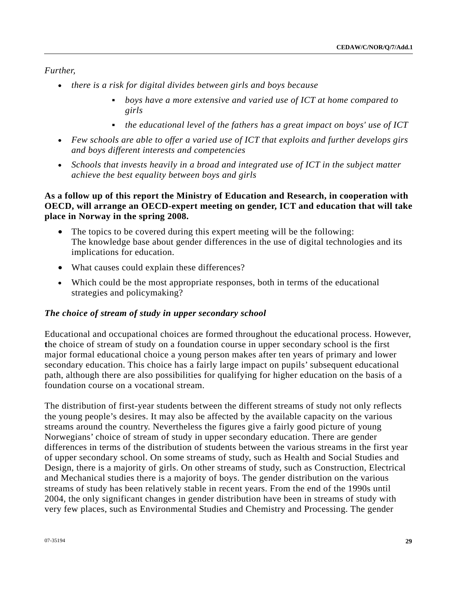*Further,* 

- *there is a risk for digital divides between girls and boys because* 
	- *boys have a more extensive and varied use of ICT at home compared to girls*
	- *the educational level of the fathers has a great impact on boys' use of ICT*
- *Few schools are able to offer a varied use of ICT that exploits and further develops girs and boys different interests and competencies*
- *Schools that invests heavily in a broad and integrated use of ICT in the subject matter achieve the best equality between boys and girls*

# **As a follow up of this report the Ministry of Education and Research, in cooperation with OECD, will arrange an OECD-expert meeting on gender, ICT and education that will take place in Norway in the spring 2008.**

- The topics to be covered during this expert meeting will be the following: The knowledge base about gender differences in the use of digital technologies and its implications for education.
- What causes could explain these differences?
- Which could be the most appropriate responses, both in terms of the educational strategies and policymaking?

## *The choice of stream of study in upper secondary school*

Educational and occupational choices are formed throughout the educational process. However, **t**he choice of stream of study on a foundation course in upper secondary school is the first major formal educational choice a young person makes after ten years of primary and lower secondary education. This choice has a fairly large impact on pupils' subsequent educational path, although there are also possibilities for qualifying for higher education on the basis of a foundation course on a vocational stream.

The distribution of first-year students between the different streams of study not only reflects the young people's desires. It may also be affected by the available capacity on the various streams around the country. Nevertheless the figures give a fairly good picture of young Norwegians' choice of stream of study in upper secondary education. There are gender differences in terms of the distribution of students between the various streams in the first year of upper secondary school. On some streams of study, such as Health and Social Studies and Design, there is a majority of girls. On other streams of study, such as Construction, Electrical and Mechanical studies there is a majority of boys. The gender distribution on the various streams of study has been relatively stable in recent years. From the end of the 1990s until 2004, the only significant changes in gender distribution have been in streams of study with very few places, such as Environmental Studies and Chemistry and Processing. The gender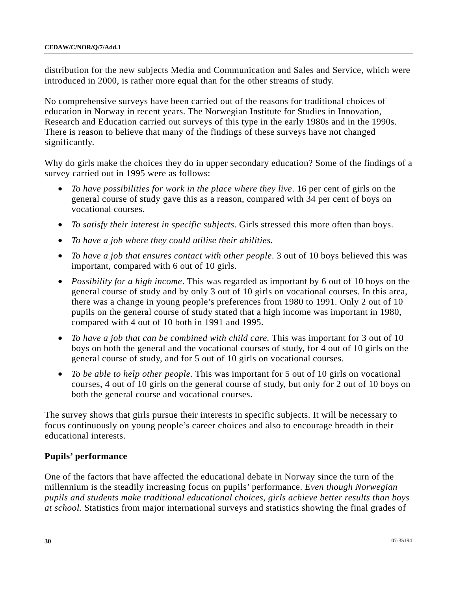distribution for the new subjects Media and Communication and Sales and Service, which were introduced in 2000, is rather more equal than for the other streams of study.

No comprehensive surveys have been carried out of the reasons for traditional choices of education in Norway in recent years. The Norwegian Institute for Studies in Innovation, Research and Education carried out surveys of this type in the early 1980s and in the 1990s. There is reason to believe that many of the findings of these surveys have not changed significantly.

Why do girls make the choices they do in upper secondary education? Some of the findings of a survey carried out in 1995 were as follows:

- *To have possibilities for work in the place where they live*. 16 per cent of girls on the general course of study gave this as a reason, compared with 34 per cent of boys on vocational courses.
- *To satisfy their interest in specific subjects*. Girls stressed this more often than boys.
- *To have a job where they could utilise their abilities.*
- *To have a job that ensures contact with other people*. 3 out of 10 boys believed this was important, compared with 6 out of 10 girls.
- *Possibility for a high income*. This was regarded as important by 6 out of 10 boys on the general course of study and by only 3 out of 10 girls on vocational courses. In this area, there was a change in young people's preferences from 1980 to 1991. Only 2 out of 10 pupils on the general course of study stated that a high income was important in 1980, compared with 4 out of 10 both in 1991 and 1995.
- *To have a job that can be combined with child care.* This was important for 3 out of 10 boys on both the general and the vocational courses of study, for 4 out of 10 girls on the general course of study, and for 5 out of 10 girls on vocational courses.
- *To be able to help other people.* This was important for 5 out of 10 girls on vocational courses, 4 out of 10 girls on the general course of study, but only for 2 out of 10 boys on both the general course and vocational courses.

The survey shows that girls pursue their interests in specific subjects. It will be necessary to focus continuously on young people's career choices and also to encourage breadth in their educational interests.

#### **Pupils' performance**

One of the factors that have affected the educational debate in Norway since the turn of the millennium is the steadily increasing focus on pupils' performance. *Even though Norwegian pupils and students make traditional educational choices, girls achieve better results than boys at school.* Statistics from major international surveys and statistics showing the final grades of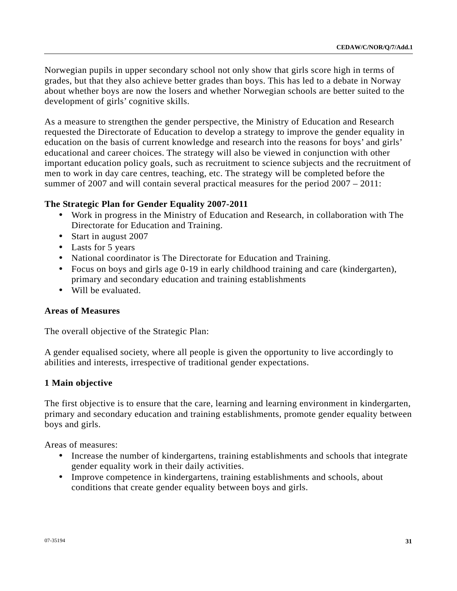Norwegian pupils in upper secondary school not only show that girls score high in terms of grades, but that they also achieve better grades than boys. This has led to a debate in Norway about whether boys are now the losers and whether Norwegian schools are better suited to the development of girls' cognitive skills.

As a measure to strengthen the gender perspective, the Ministry of Education and Research requested the Directorate of Education to develop a strategy to improve the gender equality in education on the basis of current knowledge and research into the reasons for boys' and girls' educational and career choices. The strategy will also be viewed in conjunction with other important education policy goals, such as recruitment to science subjects and the recruitment of men to work in day care centres, teaching, etc. The strategy will be completed before the summer of 2007 and will contain several practical measures for the period 2007 – 2011:

# **The Strategic Plan for Gender Equality 2007-2011**

- Work in progress in the Ministry of Education and Research, in collaboration with The Directorate for Education and Training.
- Start in august 2007
- Lasts for 5 years
- National coordinator is The Directorate for Education and Training.
- Focus on boys and girls age 0-19 in early childhood training and care (kindergarten), primary and secondary education and training establishments
- Will be evaluated.

# **Areas of Measures**

The overall objective of the Strategic Plan:

A gender equalised society, where all people is given the opportunity to live accordingly to abilities and interests, irrespective of traditional gender expectations.

# **1 Main objective**

The first objective is to ensure that the care, learning and learning environment in kindergarten, primary and secondary education and training establishments, promote gender equality between boys and girls.

Areas of measures:

- Increase the number of kindergartens, training establishments and schools that integrate gender equality work in their daily activities.
- Improve competence in kindergartens, training establishments and schools, about conditions that create gender equality between boys and girls.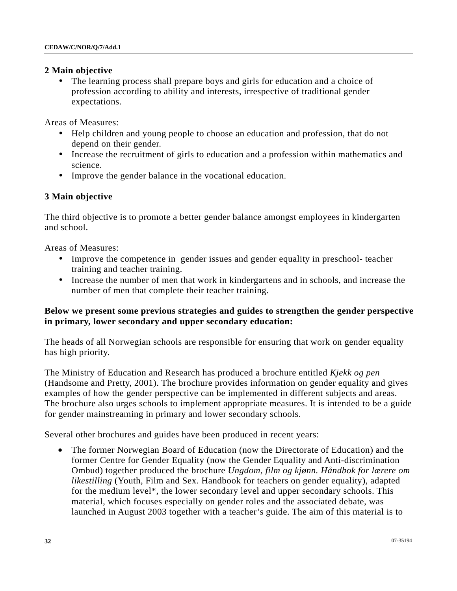#### **2 Main objective**

The learning process shall prepare boys and girls for education and a choice of profession according to ability and interests, irrespective of traditional gender expectations.

Areas of Measures:

- Help children and young people to choose an education and profession, that do not depend on their gender.
- Increase the recruitment of girls to education and a profession within mathematics and science.
- Improve the gender balance in the vocational education.

## **3 Main objective**

The third objective is to promote a better gender balance amongst employees in kindergarten and school.

Areas of Measures:

- Improve the competence in gender issues and gender equality in preschool- teacher training and teacher training.
- Increase the number of men that work in kindergartens and in schools, and increase the number of men that complete their teacher training.

## **Below we present some previous strategies and guides to strengthen the gender perspective in primary, lower secondary and upper secondary education:**

The heads of all Norwegian schools are responsible for ensuring that work on gender equality has high priority.

The Ministry of Education and Research has produced a brochure entitled *Kjekk og pen* (Handsome and Pretty, 2001). The brochure provides information on gender equality and gives examples of how the gender perspective can be implemented in different subjects and areas. The brochure also urges schools to implement appropriate measures. It is intended to be a guide for gender mainstreaming in primary and lower secondary schools.

Several other brochures and guides have been produced in recent years:

• The former Norwegian Board of Education (now the Directorate of Education) and the former Centre for Gender Equality (now the Gender Equality and Anti-discrimination Ombud) together produced the brochure *Ungdom, film og kjønn. Håndbok for lærere om likestilling* (Youth, Film and Sex. Handbook for teachers on gender equality), adapted for the medium level\*, the lower secondary level and upper secondary schools. This material, which focuses especially on gender roles and the associated debate, was launched in August 2003 together with a teacher's guide. The aim of this material is to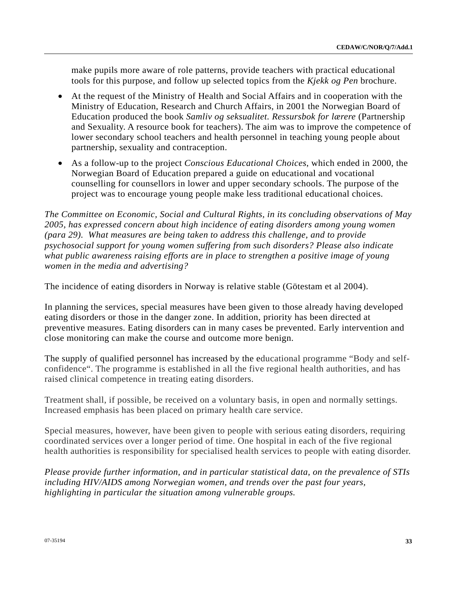make pupils more aware of role patterns, provide teachers with practical educational tools for this purpose, and follow up selected topics from the *Kjekk og Pen* brochure.

- At the request of the Ministry of Health and Social Affairs and in cooperation with the Ministry of Education, Research and Church Affairs, in 2001 the Norwegian Board of Education produced the book *Samliv og seksualitet. Ressursbok for lærere* (Partnership and Sexuality. A resource book for teachers). The aim was to improve the competence of lower secondary school teachers and health personnel in teaching young people about partnership, sexuality and contraception.
- As a follow-up to the project *Conscious Educational Choices*, which ended in 2000, the Norwegian Board of Education prepared a guide on educational and vocational counselling for counsellors in lower and upper secondary schools. The purpose of the project was to encourage young people make less traditional educational choices.

*The Committee on Economic, Social and Cultural Rights, in its concluding observations of May 2005, has expressed concern about high incidence of eating disorders among young women (para 29). What measures are being taken to address this challenge, and to provide psychosocial support for young women suffering from such disorders? Please also indicate what public awareness raising efforts are in place to strengthen a positive image of young women in the media and advertising?* 

The incidence of eating disorders in Norway is relative stable (Götestam et al 2004).

In planning the services, special measures have been given to those already having developed eating disorders or those in the danger zone. In addition, priority has been directed at preventive measures. Eating disorders can in many cases be prevented. Early intervention and close monitoring can make the course and outcome more benign.

The supply of qualified personnel has increased by the educational programme "Body and selfconfidence". The programme is established in all the five regional health authorities, and has raised clinical competence in treating eating disorders.

Treatment shall, if possible, be received on a voluntary basis, in open and normally settings. Increased emphasis has been placed on primary health care service.

Special measures, however, have been given to people with serious eating disorders, requiring coordinated services over a longer period of time. One hospital in each of the five regional health authorities is responsibility for specialised health services to people with eating disorder.

*Please provide further information, and in particular statistical data, on the prevalence of STIs including HIV/AIDS among Norwegian women, and trends over the past four years, highlighting in particular the situation among vulnerable groups.*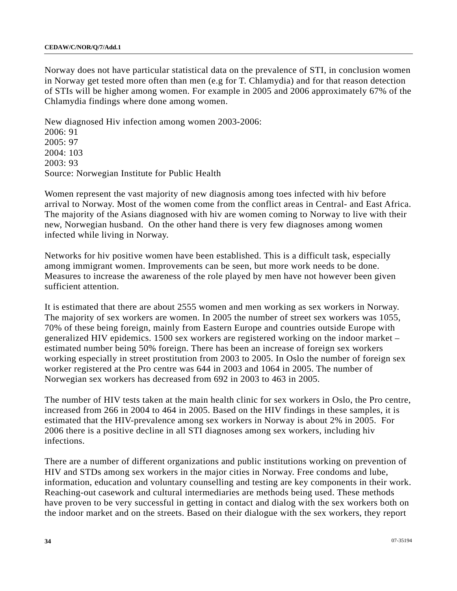Norway does not have particular statistical data on the prevalence of STI, in conclusion women in Norway get tested more often than men (e.g for T. Chlamydia) and for that reason detection of STIs will be higher among women. For example in 2005 and 2006 approximately 67% of the Chlamydia findings where done among women.

New diagnosed Hiv infection among women 2003-2006: 2006: 91 2005: 97 2004: 103 2003: 93 Source: Norwegian Institute for Public Health

Women represent the vast majority of new diagnosis among toes infected with hiv before arrival to Norway. Most of the women come from the conflict areas in Central- and East Africa. The majority of the Asians diagnosed with hiv are women coming to Norway to live with their new, Norwegian husband. On the other hand there is very few diagnoses among women infected while living in Norway.

Networks for hiv positive women have been established. This is a difficult task, especially among immigrant women. Improvements can be seen, but more work needs to be done. Measures to increase the awareness of the role played by men have not however been given sufficient attention.

It is estimated that there are about 2555 women and men working as sex workers in Norway. The majority of sex workers are women. In 2005 the number of street sex workers was 1055, 70% of these being foreign, mainly from Eastern Europe and countries outside Europe with generalized HIV epidemics. 1500 sex workers are registered working on the indoor market – estimated number being 50% foreign. There has been an increase of foreign sex workers working especially in street prostitution from 2003 to 2005. In Oslo the number of foreign sex worker registered at the Pro centre was 644 in 2003 and 1064 in 2005. The number of Norwegian sex workers has decreased from 692 in 2003 to 463 in 2005.

The number of HIV tests taken at the main health clinic for sex workers in Oslo, the Pro centre, increased from 266 in 2004 to 464 in 2005. Based on the HIV findings in these samples, it is estimated that the HIV-prevalence among sex workers in Norway is about 2% in 2005. For 2006 there is a positive decline in all STI diagnoses among sex workers, including hiv infections.

There are a number of different organizations and public institutions working on prevention of HIV and STDs among sex workers in the major cities in Norway. Free condoms and lube, information, education and voluntary counselling and testing are key components in their work. Reaching-out casework and cultural intermediaries are methods being used. These methods have proven to be very successful in getting in contact and dialog with the sex workers both on the indoor market and on the streets. Based on their dialogue with the sex workers, they report